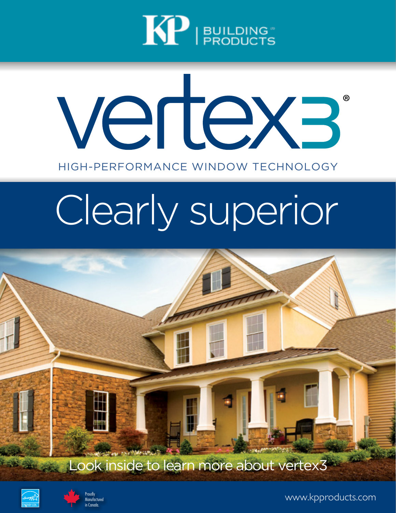

# Vertexe ® HIGH-PERFORMANCE WINDOW TECHNOLOGY

# Clearly superior







www.kpproducts.com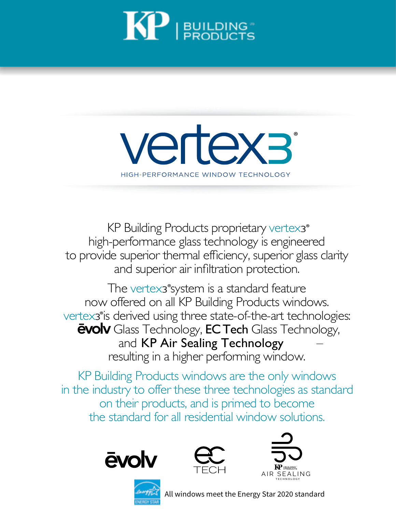



KP Building Products proprietary vertex3<sup>®</sup> high-performance glass technology is engineered to provide superior thermal efficiency, superior glass clarity and superior air infiltration protection.

The vertex3®system is a standard feature now offered on all KP Building Products windows. vertex<sup>3</sup> is derived using three state-of-the-art technologies: **Evolv** Glass Technology, **EC Tech** Glass Technology, and KP Air Sealing Technology resulting in a higher performing window.

KP Building Products windows are the only windows in the industry to offer these three technologies as standard on their products, and is primed to become the standard for all residential window solutions.









All windows meet the Energy Star 2020 standard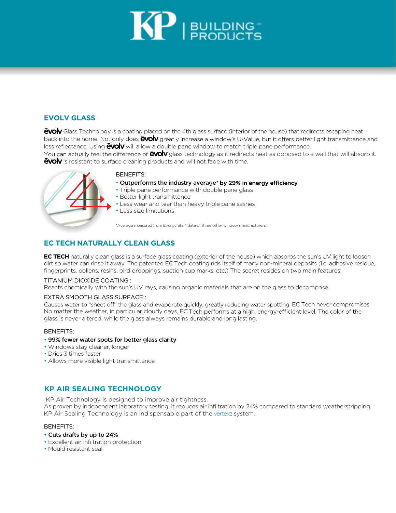

# **EVOLV GLASS**

GUO Glass Technology is a coating placed on the 4th glass surface (interior of the house) that redirects escaping heat back into the home. Not only does **EVOIV** greatly increase a window's U-Value, but it offers better light transmittance and less reflectance. Using **EVOIV** will allow a double pane window to match triple pane performance. You can actually feel the difference of **EVOIV** glass technology as it redirects heat as opposed to a wall that will absorb it.

**EVOIV** is resistant to surface cleaning products and will not fade with time.



#### BENEFITS:

- Outperforms the industry average\* by 29% in energy efficiency
- Triple pane performance with double pane glass
- Better light transmittance
- Less wear and tear than heavy triple pane sashes
- Less size limitations

\*Average measured from Energy Star® data of three other window manufacturers.

# **EC TECH NATURALLY CLEAN GLASS**

**EC TECH** naturally clean glass is a surface glass coating (exterior of the house) which absorbs the sun's UV light to loosen dirt so water can rinse it away. The patented EC Tech coating rids itself of many non-mineral deposits (i.e. adhesive residue, fingerprints, pollens, resins, bird droppings, suction cup marks, etc.). The secret resides on two main features:

#### TITANIUM DIOXIDE COATING :

Reacts chemically with the sun's UV rays, causing organic materials that are on the glass to decompose.

#### EXTRA SMOOTH GLASS SURFACE :

Causes water to "sheet off" the glass and evaporate quickly, greatly reducing water spotting. EC Tech never compromises. No matter the weather, in particular cloudy days, EC Tech performs at a high, energy-efficient level. The color of the glass is never altered, while the glass always remains durable and long lasting.

#### BENEFITS:

#### • 99% fewer water spots for better glass clarity

- Windows stay cleaner, longer
- Dries 3 times faster
- Allows more visible light transmittance

### **KP AIR SEALING TECHNOLOGY**

KP Air Technology is designed to improve air tightness.

As proven by independent laboratory testing, it reduces air infiltration by 24% compared to standard weatherstripping. KP Air Sealing Technology is an indispensable part of the vertex3 system.

#### BENEFITS:

- Cuts drafts by up to 24%
- Excellent air infiltration protection
- Mould resistant seal